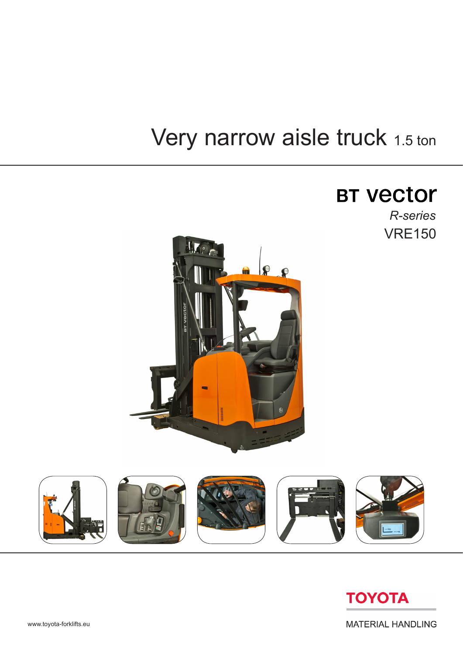# Very narrow aisle truck 1.5 ton

## **BT vector**

VRE150 *R-series*







www.toyota-forklifts.eu

**MATERIAL HANDLING**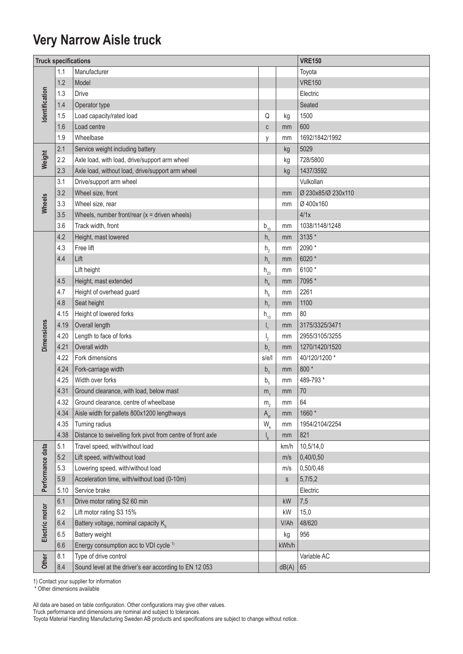#### **Very Narrow Aisle truck**

| <b>Truck specifications</b> |      |                                                             |                                               | <b>VRE150</b> |                    |  |  |  |
|-----------------------------|------|-------------------------------------------------------------|-----------------------------------------------|---------------|--------------------|--|--|--|
|                             | 1.1  | Manufacturer                                                |                                               |               | Toyota             |  |  |  |
|                             | 1.2  | Model                                                       |                                               |               | <b>VRE150</b>      |  |  |  |
|                             | 1.3  | <b>Drive</b>                                                |                                               |               | Electric           |  |  |  |
|                             | 1.4  | Operator type                                               |                                               |               | Seated             |  |  |  |
| dentification               | 1.5  | Load capacity/rated load                                    | Q                                             | kg            | 1500               |  |  |  |
|                             | 1.6  | Load centre                                                 | $\mathbb{C}$                                  | mm            | 600                |  |  |  |
|                             | 1.9  | Wheelbase                                                   | y                                             | mm            | 1692/1842/1992     |  |  |  |
|                             | 2.1  | Service weight including battery                            |                                               | kg            | 5029               |  |  |  |
| Weight                      | 2.2  | Axle load, with load, drive/support arm wheel               |                                               | kg            | 728/5800           |  |  |  |
|                             | 2.3  | Axle load, without load, drive/support arm wheel            |                                               | kg            | 1437/3592          |  |  |  |
|                             | 3.1  | Drive/support arm wheel                                     |                                               |               | Vulkollan          |  |  |  |
| Wheels                      | 3.2  | Wheel size, front                                           |                                               | mm            | Ø 230x85/Ø 230x110 |  |  |  |
|                             | 3.3  | Wheel size, rear                                            |                                               | mm            | Ø 400x160          |  |  |  |
|                             | 3.5  | Wheels, number front/rear $(x =$ driven wheels)             |                                               |               | 4/1x               |  |  |  |
|                             | 3.6  | Track width, front                                          | $b_{10}$                                      | mm            | 1038/1148/1248     |  |  |  |
|                             | 4.2  | Height, mast lowered                                        | h <sub>1</sub>                                | mm            | 3135 *             |  |  |  |
|                             | 4.3  | Free lift                                                   | h <sub>2</sub>                                | mm            | 2090 *             |  |  |  |
|                             | 4.4  | Lift                                                        | h <sub>3</sub>                                | mm            | 6020 *             |  |  |  |
|                             |      | Lift height                                                 | $h_{23}$                                      | mm            | 6100*              |  |  |  |
|                             | 4.5  | Height, mast extended                                       | $h_a$                                         | mm            | 7095 *             |  |  |  |
|                             | 4.7  | Height of overhead guard                                    | $h_{6}$                                       | mm            | 2261               |  |  |  |
|                             | 4.8  | Seat height                                                 | h <sub>7</sub>                                | mm            | 1100               |  |  |  |
|                             | 4.15 | Height of lowered forks                                     | $h_{13}$                                      | mm            | 80                 |  |  |  |
| <b>Dimensions</b>           | 4.19 | Overall length                                              | $\mathsf{I}_1$                                | mm            | 3175/3325/3471     |  |  |  |
|                             | 4.20 | Length to face of forks                                     | $\mathsf{I}_{2}$                              | mm            | 2955/3105/3255     |  |  |  |
|                             | 4.21 | Overall width                                               | $b_{1}$                                       | mm            | 1270/1420/1520     |  |  |  |
|                             | 4.22 | Fork dimensions                                             | s/e/l                                         | mm            | 40/120/1200 *      |  |  |  |
|                             | 4.24 | Fork-carriage width                                         | $b_3$                                         | mm            | 800 *              |  |  |  |
|                             | 4.25 | Width over forks                                            | b <sub>5</sub>                                | mm            | 489-793 *          |  |  |  |
|                             | 4.31 | Ground clearance, with load, below mast                     | m <sub>1</sub>                                | mm            | 70                 |  |  |  |
|                             | 4.32 | Ground clearance, centre of wheelbase                       | m <sub>2</sub>                                | mm            | 64                 |  |  |  |
|                             | 4.34 | Aisle width for pallets 800x1200 lengthways                 | $\mathsf{A}_{\mathsf{st}}$                    | mm            | 1660 *             |  |  |  |
|                             | 4.35 | Turning radius                                              | $\mathsf{W}_{\scriptscriptstyle{\mathsf{a}}}$ | mm            | 1954/2104/2254     |  |  |  |
|                             | 4.38 | Distance to swivelling fork pivot from centre of front axle | $\mathsf{I}_{8}$                              | mm            | 821                |  |  |  |
|                             | 5.1  | Travel speed, with/without load                             |                                               | km/h          | 10,5/14,0          |  |  |  |
|                             | 5.2  | Lift speed, with/without load                               |                                               | m/s           | 0,40/0,50          |  |  |  |
| Performance data            | 5.3  | Lowering speed, with/without load                           |                                               | m/s           | 0,50/0,48          |  |  |  |
|                             | 5.9  | Acceleration time, with/without load (0-10m)                |                                               | S             | 5,7/5,2            |  |  |  |
|                             | 5.10 | Service brake                                               |                                               |               | Electric           |  |  |  |
| Electric motor              | 6.1  | Drive motor rating S2 60 min                                |                                               | kW            | 7,5                |  |  |  |
|                             | 6.2  | Lift motor rating S3 15%                                    |                                               | kW            | 15,0               |  |  |  |
|                             | 6.4  | Battery voltage, nominal capacity K <sub>5</sub>            |                                               | V/Ah          | 48/620             |  |  |  |
|                             | 6.5  | Battery weight                                              |                                               | kg            | 956                |  |  |  |
|                             | 6.6  | Energy consumption acc to VDI cycle <sup>1)</sup>           |                                               | kWh/h         |                    |  |  |  |
| Other                       | 8.1  | Type of drive control                                       |                                               |               | Variable AC        |  |  |  |
|                             | 8.4  | Sound level at the driver's ear according to EN 12 053      |                                               | dB(A)         | 65                 |  |  |  |

1) Contact your supplier for information

\* Other dimensions available

Truck performance and dimensions are nominal and subject to tolerances.

Toyota Material Handling Manufacturing Sweden AB products and specifications are subject to change without notice.

All data are based on table configuration. Other configurations may give other values.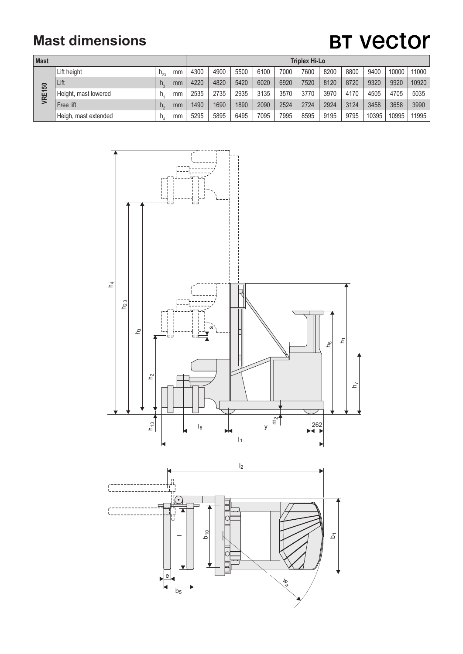### **Mast dimensions**

## **BT Vector**

| <b>Mast</b>   |                      |    |    | <b>Triplex Hi-Lo</b> |      |      |      |      |      |      |      |       |       |       |
|---------------|----------------------|----|----|----------------------|------|------|------|------|------|------|------|-------|-------|-------|
| <b>VRE150</b> | Lift height          |    | mm | 4300                 | 4900 | 5500 | 6100 | 7000 | 7600 | 8200 | 8800 | 9400  | 10000 | 11000 |
|               | Lift                 | h, | mm | 4220                 | 4820 | 5420 | 6020 | 6920 | 7520 | 8120 | 8720 | 9320  | 9920  | 10920 |
|               | Height, mast lowered | h  | mm | 2535                 | 2735 | 2935 | 3135 | 3570 | 3770 | 3970 | 4170 | 4505  | 4705  | 5035  |
|               | Free lift            | h, | mm | 1490                 | 1690 | 1890 | 2090 | 2524 | 2724 | 2924 | 3124 | 3458  | 3658  | 3990  |
|               | Heigh, mast extended | h. | mm | 5295                 | 5895 | 6495 | 7095 | 7995 | 8595 | 9195 | 9795 | 10395 | 10995 | 11995 |